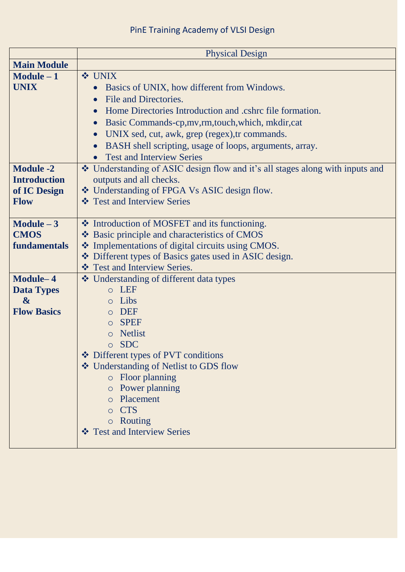|                                                                          | <b>Physical Design</b>                                                                                                                                                                                                                                                                                                                                                                |
|--------------------------------------------------------------------------|---------------------------------------------------------------------------------------------------------------------------------------------------------------------------------------------------------------------------------------------------------------------------------------------------------------------------------------------------------------------------------------|
| <b>Main Module</b>                                                       |                                                                                                                                                                                                                                                                                                                                                                                       |
| $Module - 1$<br><b>UNIX</b>                                              | <b>❖ UNIX</b><br>Basics of UNIX, how different from Windows.<br>$\bullet$<br>File and Directories.<br>Home Directories Introduction and .cshrc file formation.<br>Basic Commands-cp, mv, rm, touch, which, mkdir, cat<br>UNIX sed, cut, awk, grep (regex), tr commands.<br>$\bullet$<br>BASH shell scripting, usage of loops, arguments, array.<br><b>Test and Interview Series</b>   |
| <b>Module -2</b><br><b>Introduction</b><br>of IC Design<br><b>Flow</b>   | ❖ Understanding of ASIC design flow and it's all stages along with inputs and<br>outputs and all checks.<br>❖ Understanding of FPGA Vs ASIC design flow.<br>❖ Test and Interview Series                                                                                                                                                                                               |
| Module $-3$<br><b>CMOS</b><br>fundamentals                               | ❖ Introduction of MOSFET and its functioning.<br>❖ Basic principle and characteristics of CMOS<br>❖ Implementations of digital circuits using CMOS.<br>❖ Different types of Basics gates used in ASIC design.<br>❖ Test and Interview Series.                                                                                                                                         |
| Module-4<br><b>Data Types</b><br>$\boldsymbol{\&}$<br><b>Flow Basics</b> | ❖ Understanding of different data types<br><b>LEF</b><br>Libs<br><b>DEF</b><br>$\Omega$<br><b>SPEF</b><br>$\Omega$<br><b>Netlist</b><br>$\circ$<br><b>SDC</b><br>$\circ$<br>❖ Different types of PVT conditions<br>❖ Understanding of Netlist to GDS flow<br>o Floor planning<br>o Power planning<br>o Placement<br><b>CTS</b><br>$\circ$<br>o Routing<br>❖ Test and Interview Series |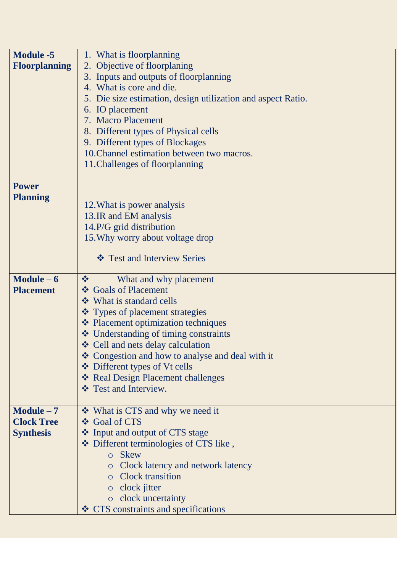| <b>Module -5</b>     | 1. What is floorplanning                                     |
|----------------------|--------------------------------------------------------------|
| <b>Floorplanning</b> | 2. Objective of floorplaning                                 |
|                      | 3. Inputs and outputs of floorplanning                       |
|                      | 4. What is core and die.                                     |
|                      | 5. Die size estimation, design utilization and aspect Ratio. |
|                      | 6. IO placement                                              |
|                      | 7. Macro Placement                                           |
|                      | 8. Different types of Physical cells                         |
|                      | 9. Different types of Blockages                              |
|                      | 10. Channel estimation between two macros.                   |
|                      | 11. Challenges of floorplanning                              |
|                      |                                                              |
| <b>Power</b>         |                                                              |
| <b>Planning</b>      | 12. What is power analysis                                   |
|                      | 13.IR and EM analysis                                        |
|                      | 14.P/G grid distribution                                     |
|                      | 15. Why worry about voltage drop                             |
|                      |                                                              |
|                      | ❖ Test and Interview Series                                  |
| $Module - 6$         | What and why placement<br>榛                                  |
| <b>Placement</b>     | ❖ Goals of Placement                                         |
|                      | ❖ What is standard cells                                     |
|                      | ❖ Types of placement strategies                              |
|                      | ❖ Placement optimization techniques                          |
|                      | ❖ Understanding of timing constraints                        |
|                      | ❖ Cell and nets delay calculation                            |
|                      | ❖ Congestion and how to analyse and deal with it             |
|                      | ❖ Different types of Vt cells                                |
|                      | * Real Design Placement challenges                           |
|                      | ❖ Test and Interview.                                        |
| $Module - 7$         | ❖ What is CTS and why we need it                             |
| <b>Clock Tree</b>    | ❖ Goal of CTS                                                |
| <b>Synthesis</b>     | ❖ Input and output of CTS stage                              |
|                      | ❖ Different terminologies of CTS like,                       |
|                      | o Skew                                                       |
|                      | • Clock latency and network latency                          |
|                      | <b>O</b> Clock transition                                    |
|                      | $\circ$ clock jitter                                         |
|                      | o clock uncertainty                                          |
|                      | ❖ CTS constraints and specifications                         |